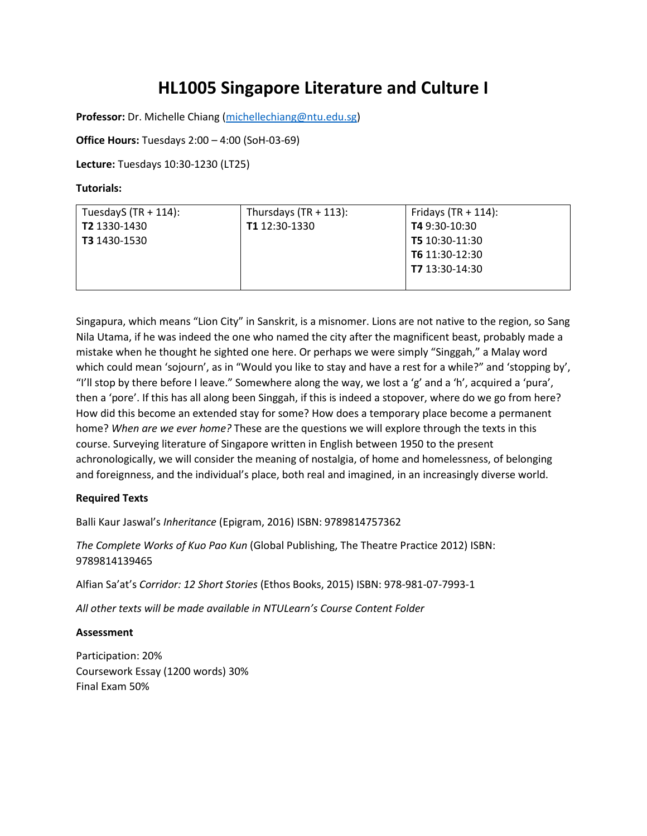# **HL1005 Singapore Literature and Culture I**

**Professor:** Dr. Michelle Chiang [\(michellechiang@ntu.edu.sg\)](mailto:michellechiang@ntu.edu.sg)

### **Office Hours:** Tuesdays 2:00 – 4:00 (SoH-03-69)

**Lecture:** Tuesdays 10:30-1230 (LT25)

#### **Tutorials:**

| TuesdayS $(TR + 114)$ : | Thursdays $(TR + 113)$ : | Fridays $(TR + 114)$ : |
|-------------------------|--------------------------|------------------------|
| T2 1330-1430            | T1 12:30-1330            | <b>T4</b> 9:30-10:30   |
| <b>T3</b> 1430-1530     |                          | T5 10:30-11:30         |
|                         |                          | T6 11:30-12:30         |
|                         |                          | T7 13:30-14:30         |
|                         |                          |                        |

Singapura, which means "Lion City" in Sanskrit, is a misnomer. Lions are not native to the region, so Sang Nila Utama, if he was indeed the one who named the city after the magnificent beast, probably made a mistake when he thought he sighted one here. Or perhaps we were simply "Singgah," a Malay word which could mean 'sojourn', as in "Would you like to stay and have a rest for a while?" and 'stopping by', "I'll stop by there before I leave." Somewhere along the way, we lost a 'g' and a 'h', acquired a 'pura', then a 'pore'. If this has all along been Singgah, if this is indeed a stopover, where do we go from here? How did this become an extended stay for some? How does a temporary place become a permanent home? *When are we ever home?* These are the questions we will explore through the texts in this course. Surveying literature of Singapore written in English between 1950 to the present achronologically, we will consider the meaning of nostalgia, of home and homelessness, of belonging and foreignness, and the individual's place, both real and imagined, in an increasingly diverse world.

#### **Required Texts**

Balli Kaur Jaswal's *Inheritance* (Epigram, 2016) ISBN: 9789814757362

*The Complete Works of Kuo Pao Kun* (Global Publishing, The Theatre Practice 2012) ISBN: 9789814139465

Alfian Sa'at's *Corridor: 12 Short Stories* (Ethos Books, 2015) ISBN: 978-981-07-7993-1

*All other texts will be made available in NTULearn's Course Content Folder*

#### **Assessment**

Participation: 20% Coursework Essay (1200 words) 30% Final Exam 50%